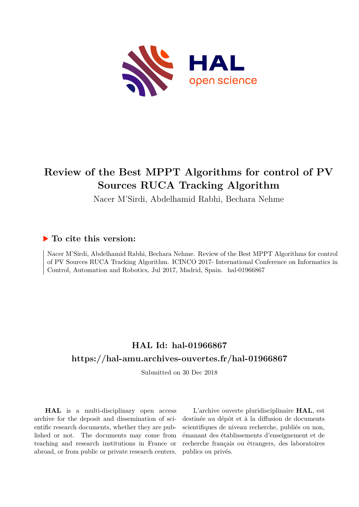

# **Review of the Best MPPT Algorithms for control of PV Sources RUCA Tracking Algorithm**

Nacer M'Sirdi, Abdelhamid Rabhi, Bechara Nehme

# **To cite this version:**

Nacer M'Sirdi, Abdelhamid Rabhi, Bechara Nehme. Review of the Best MPPT Algorithms for control of PV Sources RUCA Tracking Algorithm. ICINCO 2017- International Conference on Informatics in Control, Automation and Robotics, Jul 2017, Madrid, Spain. hal-01966867

# **HAL Id: hal-01966867 <https://hal-amu.archives-ouvertes.fr/hal-01966867>**

Submitted on 30 Dec 2018

**HAL** is a multi-disciplinary open access archive for the deposit and dissemination of scientific research documents, whether they are published or not. The documents may come from teaching and research institutions in France or abroad, or from public or private research centers.

L'archive ouverte pluridisciplinaire **HAL**, est destinée au dépôt et à la diffusion de documents scientifiques de niveau recherche, publiés ou non, émanant des établissements d'enseignement et de recherche français ou étrangers, des laboratoires publics ou privés.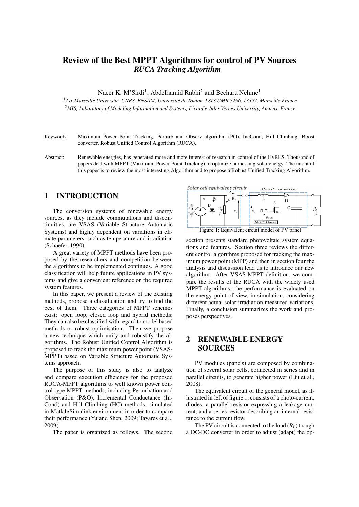# Review of the Best MPPT Algorithms for control of PV Sources *RUCA Tracking Algorithm*

Nacer K. M'Sirdi<sup>1</sup>, Abdelhamid Rabhi<sup>2</sup> and Bechara Nehme<sup>1</sup>

<sup>1</sup>*Aix Marseille Universite, CNRS, ENSAM, Universit ´ e de Toulon, LSIS UMR 7296, 13397, Marseille France ´* <sup>2</sup>*MIS, Laboratory of Modeling Information and Systems, Picardie Jules Vernes University, Amiens, France*

- Keywords: Maximum Power Point Tracking, Perturb and Observ algorithm (PO), IncCond, Hill Climbing, Boost converter, Robust Unified Control Algorithm (RUCA).
- Abstract: Renewable energies, has generated more and more interest of research in control of the HyRES. Thousand of papers deal with MPPT (Maximum Power Point Tracking) to optimize harnessing solar energy. The intent of this paper is to review the most interesting Algorithm and to propose a Robust Unified Tracking Algorithm.

# 1 INTRODUCTION

The conversion systems of renewable energy sources, as they include commutations and discontinuities, are VSAS (Variable Structure Automatic Systems) and highly dependent on variations in climate parameters, such as temperature and irradiation (Schaefer, 1990).

A great variety of MPPT methods have been proposed by the researchers and competition between the algorithms to be implemented continues. A good classification will help future applications in PV systems and give a convenient reference on the required system features.

In this paper, we present a review of the existing methods, propose a classification and try to find the best of them. Three categories of MPPT schemes exist: open loop, closed loop and hybrid methods; They can also be classified with regard to model based methods or robust optimisation. Then we propose a new technique which unify and robustify the algorithms. The Robust Unified Control Algorithm is proposed to track the maximum power point (VSAS-MPPT) based on Variable Structure Automatic Systems approach.

The purpose of this study is also to analyze and compare execution efficiency for the proposed RUCA-MPPT algorithms to well known power control type MPPT methods, including Perturbation and Observation (P&O), Incremental Conductance (In-Cond) and Hill Climbing (HC) methods, simulated in Matlab/Simulink environment in order to compare their performance (Yu and Shen, 2009; Tavares et al., 2009).

The paper is organized as follows. The second



section presents standard photovoltaic system equations and features. Section three reviews the different control algorithms proposed for tracking the maximum power point (MPP) and then in section four the analysis and discussion lead us to introduce our new algorithm. After VSAS-MPPT definition, we compare the results of the RUCA with the widely used MPPT algorithms; the performance is evaluated on the energy point of view, in simulation, considering different actual solar irradiation measured variations. Finally, a conclusion summarizes the work and proposes perspectives.

# 2 RENEWABLE ENERGY SOURCES

PV modules (panels) are composed by combination of several solar cells, connected in series and in parallel circuits, to generate higher power (Liu et al., 2008).

The equivalent circuit of the general model, as illustrated in left of figure 1, consists of a photo-current, diodes, a parallel resistor expressing a leakage current, and a series resistor describing an internal resistance to the current flow.

The PV circuit is connected to the load  $(R_L)$  trough a DC-DC converter in order to adjust (adapt) the op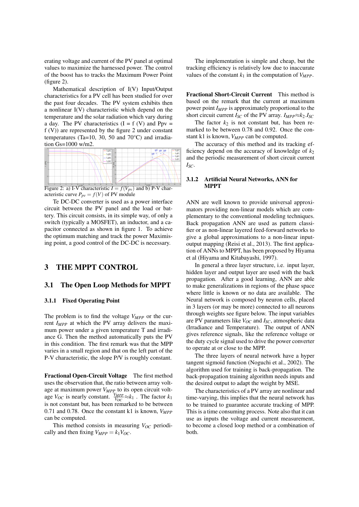erating voltage and current of the PV panel at optimal values to maximize the harnessed power. The control of the boost has to tracks the Maximum Power Point (figure 2).

Mathematical description of I(V) Input/Output characteristics for a PV cell has been studied for over the past four decades. The PV system exhibits then a nonlinear I(V) characteristic which depend on the temperature and the solar radiation which vary during a day. The PV characteristics  $(I = f(V))$  and Ppv = f (V)) are represented by the figure 2 under constant temperatures (Ta=10, 30, 50 and 70°C) and irradiation Gs=1000 w/m2.



Figure 2: a) I-V characteristic  $I = f(V_{pv})$  and b) P-V characteristic curve  $P_{pv} = f(V)$  of PV module

Te DC-DC converter is used as a power interface circuit between the PV panel and the load or battery. This circuit consists, in its simple way, of only a switch (typically a MOSFET), an inductor, and a capacitor connected as shown in figure 1. To achieve the optimum matching and track the power Maximising point, a good control of the DC-DC is necessary.

## 3 THE MPPT CONTROL

#### 3.1 The Open Loop Methods for MPPT

#### 3.1.1 Fixed Operating Point

The problem is to find the voltage *VMPP* or the current *IMPP* at which the PV array delivers the maximum power under a given temperature T and irradiance G. Then the method automatically puts the PV in this condition. The first remark was that the MPP varies in a small region and that on the left part of the P-V characteristic, the slope P/V is roughly constant.

Fractional Open-Circuit Voltage The first method uses the observation that, the ratio between array voltage at maximum power *VMPP* to its open circuit voltage  $V_{OC}$  is nearly constant.  $\frac{V_{MPP}}{V_{OC}} \approx k_1$ . The factor  $k_1$ is not constant but, has been remarked to be between 0.71 and 0.78. Once the constant k1 is known, *VMPP* can be computed.

This method consists in measuring  $V_{OC}$  periodically and then fixing  $V_{MPP} = k_1 V_{OC}$ .

The implementation is simple and cheap, but the tracking efficiency is relatively low due to inaccurate values of the constant  $k_1$  in the computation of  $V_{MPP}$ .

Fractional Short-Circuit Current This method is based on the remark that the current at maximum power point *IMPP* is approximately proportional to the short circuit current  $I_{SC}$  of the PV array.  $I_{MPP} \approx k_2.I_{SC}$ 

The factor  $k_2$  is not constant but, has been remarked to be between 0.78 and 0.92. Once the constant k1 is known, *VMPP* can be computed.

The accuracy of this method and its tracking efficiency depend on the accuracy of knowledge of  $k_2$ and the periodic measurement of short circuit current *ISC*.

#### 3.1.2 Artificial Neural Networks, ANN for MPPT

ANN are well known to provide universal approximators providing non-linear models which are complementary to the conventional modeling techniques. Back propagation ANN are used as pattern classifier or as non-linear layered feed-forward networks to give a global approximations to a non-linear inputoutput mapping (Reisi et al., 2013). The first application of ANNs to MPPT, has been proposed by Hiyama et al (Hiyama and Kitabayashi, 1997).

In general a three layer structure, i.e. input layer, hidden layer and output layer are used with the back propagation. After a good learning, ANN are able to make generalizations in regions of the phase space where little is known or no data are available. The Neural network is composed by neuron cells, placed in 3 layers (or may be more) connected to all neurons through weights see figure below. The input variables are PV parameters like *VOC* and *ISC*, atmospheric data (Irradiance and Temperature). The output of ANN gives reference signals, like the reference voltage or the duty cycle signal used to drive the power converter to operate at or close to the MPP.

The three layers of neural network have a hyper tangent sigmoid function (Noguchi et al., 2002). The algorithm used for training is back-propagation. The back-propagation training algorithm needs inputs and the desired output to adapt the weight by MSE.

The characteristics of a PV array are nonlinear and time-varying, this implies that the neural network has to be trained to guarantee accurate tracking of MPP. This is a time consuming process. Note also that it can use as inputs the voltage and current measurement, to become a closed loop method or a combination of both.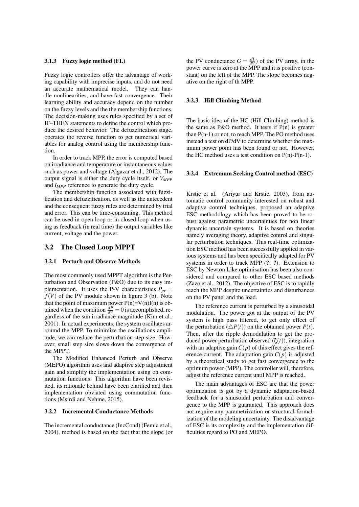#### 3.1.3 Fuzzy logic method (FL)

Fuzzy logic controllers offer the advantage of working capability with imprecise inputs, and do not need an accurate mathematical model. They can handle nonlinearities, and have fast convergence. Their learning ability and accuracy depend on the number on the fuzzy levels and the the membership functions. The decision-making uses rules specified by a set of IF–THEN statements to define the control which produce the desired behavior. The defuzzification stage, operates the reverse function to get numerical variables for analog control using the membership function.

In order to track MPP, the error is computed based on irradiance and temperature or instantaneous values such as power and voltage (Algazar et al., 2012). The output signal is either the duty cycle itself, or *VMPP* and *IMPP* reference to generate the duty cycle.

The membership function associated with fuzzification and defuzzification, as well as the antecedent and the consequent fuzzy rules are determined by trial and error. This can be time-consuming. This method can be used in open loop or in closed loop when using as feedback (in real time) the output variables like current, voltage and the power.

#### 3.2 The Closed Loop MPPT

#### 3.2.1 Perturb and Observe Methods

The most commonly used MPPT algorithm is the Perturbation and Observation (P&O) due to its easy implementation. It uses the P-V characteristics  $P_{pv}$  =  $f(V)$  of the PV module shown in figure 3 (b). Note that the point of maximum power  $P(n)=V(n)I(n)$  is obtained when the condition  $\frac{dP}{dV} = 0$  is accomplished, regardless of the sun irradiance magnitude (Kim et al., 2001). In actual experiments, the system oscillates arroumd the MPP. To minimize the oscillations amplitude, we can reduce the perturbation step size. However, small step size slows down the convergence of the MPPT.

The Modified Enhanced Perturb and Observe (MEPO) algorithm uses and adaptive step adjustment gain and simplify the implementation using on commutation functions. This algorithm have been revisited, its rationale behind have been clarified and then implementation obviated using commutation functions (Msirdi and Nehme, 2015).

#### 3.2.2 Incremental Conductance Methods

The incremental conductance (IncCond) (Femia et al., 2004), method is based on the fact that the slope (or

the PV conductance  $G = \frac{dI}{dV}$  of the PV array, in the power curve is zero at the MPP and it is positive (constant) on the left of the MPP. The slope becomes negative on the right of th MPP.

#### 3.2.3 Hill Climbing Method

The basic idea of the HC (Hill Climbing) method is the same as  $P&O$  method. It tests if  $P(n)$  is greater than  $P(n-1)$  or not, to reach MPP. The PO method uses instead a test on dP/dV to determine whether the maximum power point has been found or not. However, the HC method uses a test condition on  $P(n)-P(n-1)$ .

#### 3.2.4 Extremum Seeking Control method (ESC)

Krstic et al. (Ariyur and Krstic, 2003), from automatic control community interested on robust and adaptive control techniques, proposed an adaptive ESC methodology which has been proved to be robust against parametric uncertainties for non linear dynamic uncertain systems. It is based on theories namely averaging theory, adaptive control and singular perturbation techniques. This real-time optimization ESC method has been successfully applied in various systems and has been specifically adapted for PV systems in order to track MPP  $(?, ?)$ . Extension to ESC by Newton Like optimisation has been also considered and compared to other ESC based methods (Zazo et al., 2012). The objective of ESC is to rapidly reach the MPP despite uncertainties and disturbances on the PV panel and the load.

The reference current is perturbed by a sinusoidal modulation. The power got at the output of the PV system is high pass filtered, to get only effect of the perturbation  $(\triangle P(t))$  on the obtained power  $P(t)$ . Then, after the ripple demodulation to get the produced power perturbation observed (ξ(*t*)), integration with an adaptive gain  $C(p)$  of this effect gives the reference current. The adaptation gain  $C(p)$  is adjusted by a theoretical study to get fast convergence to the optimum power (MPP). The controller will, therefore, adjust the reference current until MPP is reached.

The main advantages of ESC are that the power optimization is got by a dynamic adaptation-based feedback for a sinusoidal perturbation and convergence to the MPP is guaranted. This approach does not require any parametrization or structural formalization of the modeling uncertainty. The disadvantage of ESC is its complexity and the implementation difficulties regard to PO and MEPO.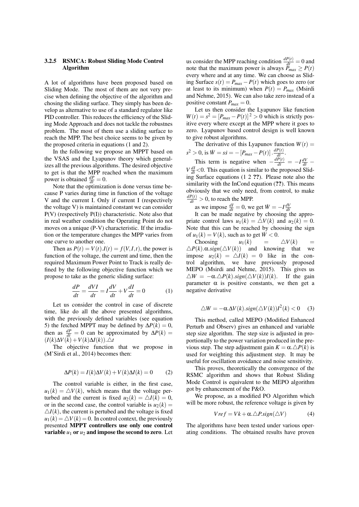### 3.2.5 RSMCA: Robust Sliding Mode Control Algorithm

A lot of algorithms have been proposed based on Sliding Mode. The most of them are not very precise when defining the objective of the algorithm and chosing the sliding surface. They simply has been develop as alternative to use of a standard regulator like PID controller. This reduces the efficiency of the Sliding Mode Approach and does not tackle the robustnes problem. The most of them use a sliding surface to reach the MPP. The best choice seems to be given by the proposed criteria in equations (1 and 2).

In the following we propose an MPPT based on the VSAS and the Lyapunov theory which generalizes all the previous algorithms. The desired objective to get is that the MPP reached when the maximum power is obtained  $\frac{dP}{dt} = 0$ .

Note that the optimization is done versus time because P varies during time in function of the voltage V and the current I. Only if current I (respectively the voltage V) is maintained constant we can consider P(V) (respectively P(I)) characteristic. Note also that in real weather condition the Operating Point do not moves on a unique (P-V) characteristic. If the irradiation or the temperature changes the MPP varies from one curve to another one.

Then as  $P(t) = V(t) \cdot I(t) = f(V, I, t)$ , the power is function of the voltage, the current and time, then the required Maximum Power Point to Track is really defined by the following objective function which we propose to take as the generic sliding surface:

$$
\frac{dP}{dt} = \frac{dVI}{dt} = I\frac{dV}{dt} + V\frac{dI}{dt} = 0
$$
 (1)

Let us consider the control in case of discrete time, like do all the above presented algorithms, with the previously defined variables (see equation 5) the fetched MPPT may be defined by  $\Delta P(k) = 0$ , then as  $\frac{dP}{dt} = 0$  can be approximated by  $\Delta P(k) =$  $(I(k)\Delta V(\tilde{k}) + V(k)\Delta I(k)).\triangle t$ 

The objective function that we propose in (M'Sirdi et al., 2014) becomes then:

$$
\Delta P(k) = I(k)\Delta V(k) + V(k)\Delta I(k) = 0 \tag{2}
$$

The control variable is either, in the first case,  $u_1(k) = \Delta V(k)$ , which means that the voltage perturbed and the current is fixed  $u_2(k) = \Delta I(k) = 0$ , or in the second case, the control variable is  $u_2(k) =$  $\Delta I(k)$ , the current is pertubed and the voltage is fixed  $u_1(k) = \Delta V(k) = 0$ . In control context, the previously presented MPPT controllers use only one control variable  $u_1$  or  $u_2$  and impose the second to zero. Let

us consider the MPP reaching condition  $\frac{dP(t)}{dt} = 0$  and note that the maximum power is always  $P_{max} \ge P(t)$ every where and at any time. We can choose as Sliding Surface  $s(t) = P_{max} - P(t)$  which goes to zero (or at least to its minimum) when  $P(t) = P_{max}$  (Msirdi and Nehme, 2015). We can also take zero instead of a positive constant  $P_{max} = 0$ .

Let us then consider the Lyapunov like function  $W(t) = s^2 = [P_{max} - P(t)]^2 > 0$  which is strictly positive every where except at the MPP where it goes to zero. Lyapunov based control design is well known to give robust algorithms.

The derivative of this Lyapunov function  $W(t)$  =  $s^2 > 0$ , is  $\dot{W} = s\dot{s} = -[P_{max} - P(t)] \cdot \frac{dP(t)}{dt}$ .

This term is negative when  $-\frac{dP(t)}{dt} = -I\frac{dV}{dt} - I\frac{dV}{dt}$  $V \frac{dI}{dt} < 0$ . This equation is similar to the proposed Sliding Surface equations (1 2 ??). Please note also the similarity with the InCond equation (??). This means obviously that we only need, from control, to make  $\frac{dP(t)}{dt} > 0$ , to reach the MPP.

as we impose  $\frac{dI}{dt} = 0$ , we get  $\dot{W} = -I \frac{dV}{dt}$ <br>It can be made negative by choosing the appropriate control laws  $u_1(k) = \Delta V(k)$  and  $u_2(k) = 0$ . Note that this can be reached by choosing the sign of  $u_1(k) = V(k)$ , such as to get  $\dot{W} < 0$ .

Choosing  $u_1(k) = \Delta V(k) = \Delta P(k) \cdot \Delta R(k)$  =  $\Delta P(k) \cdot \Delta s$  is and knowing that we 4*P*(*k*).α.*sign*(4*V*(*k*)) and knowing that we impose  $u_2(k) = \Delta I(k) = 0$  like in the control algorithm, we have previously proposed MEPO (Msirdi and Nehme, 2015). This gives us  $\triangle W = -\alpha \triangle P(k) \cdot sign(\triangle V(k))I(k)$ . If the gain parameter  $\alpha$  is positive constants, we then get a negative derivative

$$
\triangle W = -\alpha \Delta V(k).sign(\triangle V(k))I^2(k) < 0 \quad (3)
$$

This method, called MEPO (Modified Enhanced Perturb and Observ) gives an enhanced and variable step size algorithm. The step size is adjusted in proportionally to the power variation produced in the previous step. The step adjustment gain  $K = \alpha \Delta P(k)$  is used for weighting this adjustment step. It may be useful for oscillation avoidance and noise sensitivity.

This proves, theoretically the convergence of the RSMC algorithm and shows that Robust Sliding Mode Control is equivalent to the MEPO algorithm got by enhancement of the P&O.

We propose, as a modified PO Algorithm which will be more robust, the reference voltage is given by

$$
Vref = Vk + \alpha.\triangle P \cdot sign(\triangle V) \tag{4}
$$

The algorithms have been tested under various operating conditions. The obtained results have proven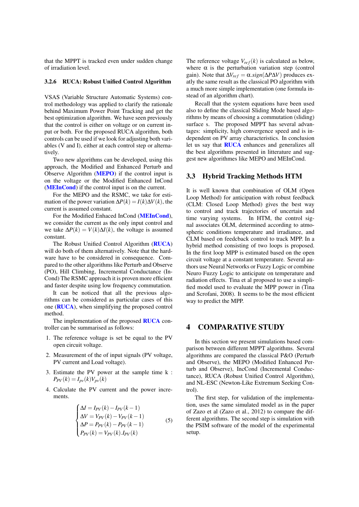that the MPPT is tracked even under sudden change of irradiation level.

#### 3.2.6 RUCA: Robust Unified Control Algorithm

VSAS (Variable Structure Automatic Systems) control methodology was applied to clarify the rationale behind Maximum Power Point Tracking and get the best optimization algorithm. We have seen previously that the control is either on voltage or on current input or both. For the proposed RUCA algorithm, both controls can be used if we look for adjusting both variables (V and I), either at each control step or alternatively.

Two new algorithms can be developed, using this approach, the Modified and Enhanced Perturb and Observe Algorithm (MEPO) if the control input is on the voltage or the Modified Enhanced InCond (MEInCond) if the control input is on the current.

For the MEPO and the RSMC, we take for estimation of the power variation  $\Delta P(k) = I(k)\Delta V(k)$ , the current is assumed constant.

For the Modified Enhaced InCond (MEInCond), we consider the current as the only input control and we take  $\Delta P(k) = V(k)\Delta I(k)$ , the voltage is assumed constant.

The Robust Unified Control Algorithm (RUCA) will do both of them alternatively. Note that the hardware have to be considered in consequence. Compared to the other algorithms like Perturb and Observe (PO), Hill Climbing, Incremental Conductance (In-Cond) The RSMC approach it is proven more efficient and faster despite using low frequency commutation.

It can be noticed that all the previous algorithms can be considered as particular cases of this one (RUCA), when simplifying the proposed control method.

The implementation of the proposed **RUCA** controller can be summarised as follows:

- 1. The reference voltage is set be equal to the PV open circuit voltage.
- 2. Measurement of the of input signals (PV voltage, PV current and Load voltage).
- 3. Estimate the PV power at the sample time k :  $P_{PV}(k) = I_{pv}(k)V_{pv}(k)$
- 4. Calculate the PV current and the power increments.

$$
\begin{cases}\n\Delta I = I_{PV}(k) - I_{PV}(k-1) \\
\Delta V = V_{PV}(k) - V_{PV}(k-1) \\
\Delta P = P_{PV}(k) - P_{PV}(k-1) \\
P_{PV}(k) = V_{PV}(k).I_{PV}(k)\n\end{cases}
$$
\n(5)

The reference voltage  $V_{ref}(k)$  is calculated as below, where  $\alpha$  is the perturbation variation step (control gain). Note that  $\Delta V_{ref} = \alpha \cdot sign(\Delta P \Delta V)$  produces exatly the same result as the classical PO algorithm with a much more simple implementation (one formula instead of an algorithm chart).

Recall that the system equations have been used also to define the classical Sliding Mode based algorithms by means of choosing a commutation (sliding) surface s. The proposed MPPT has several advantages: simplicity, high convergence speed and is independent on PV array characteristics. In conclusion let us say that RUCA enhances and generalizes all the best algorithms presented in litterature and suggest new algorithmes like MEPO and MEInCond.

## 3.3 Hybrid Tracking Methods HTM

It is well known that combination of OLM (Open Loop Method) for anticipation with robust feedback (CLM: Closed Loop Method) gives the best way to control and track trajectories of uncertain and time varying systems. In HTM, the control signal associates OLM, determined according to atmospheric conditions temperature and irradiance, and CLM based on feedcback control to track MPP. In a hybrid method consisting of two loops is proposed. In the first loop MPP is estimated based on the open circuit voltage at a constant temperature. Several authors use Neural Networks or Fuzzy Logic or combine Neuro Fuzzy Logic to anticipate on temperature and radiation effects. Tina et al proposed to use a simplified model used to evaluate the MPP power in (Tina and Scrofani, 2008). It seems to be the most efficient way to predict the MPP.

# 4 COMPARATIVE STUDY

In this section we present simulations based comparison between different MPPT algorithms. Several algorithms are compared the classical P&O (Perturb and Observe), the MEPO (Modified Enhanced Perturb and Observe), IncCond (Incremental Conductance), RUCA (Robust Unified Control Algorithm), and NL-ESC (Newton-Like Extremum Seeking Control).

The first step, for validation of the implementation, uses the same simulated model as in the paper of Zazo et al (Zazo et al., 2012) to compare the different algorithms. The second step is simulation with the PSIM software of the model of the experimental setup.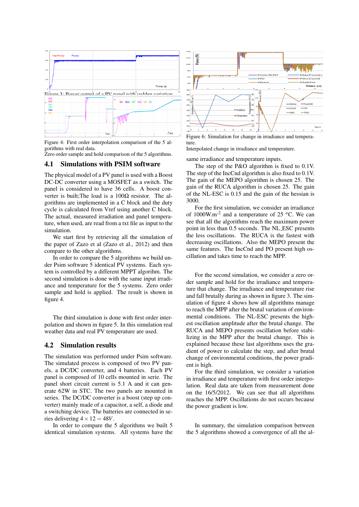

Figure 4: First order interpolation comparison of the 5 algorithms with real data.

Zero order sample and hold comparison of the 5 algorithms.

### 4.1 Simulations with PSIM software

The physical model of a PV panel is used with a Boost DC-DC converter using a MOSFET as a switch. The panel is considered to have 36 cells. A boost converter is built;The load is a  $100\Omega$  resistor. The algorithms are implemented in a C block and the duty cycle is calculated from Vref using another C block. The actual, measured irradiation and panel temperature, when used, are read from a txt file as input to the simulation.

We start first by retrieving all the simulation of the paper of Zazo et al (Zazo et al., 2012) and then compare to the other algorithms.

In order to compare the 5 algorithms we build under Psim software 5 identical PV systems. Each system is controlled by a different MPPT algorihm. The second simulation is done with the same input irradiance and temperature for the 5 systems. Zero order sample and hold is applied. The result is shown in figure 4.

The third simulation is done with first order interpolation and shown in figure 5. In this simulation real weather data and real PV temperature are used.

## 4.2 Simulation results

The simulation was performed under Psim software. The simulated process is composed of two PV panels, a DC/DC converter, and 4 batteries. Each PV panel is composed of 10 cells mounted in serie. The panel short circuit current is 5.1 A and it can generate 62W in STC. The two panels are mounted in series. The DC/DC converter is a boost (step up converter) mainly made of a capacitor, a self, a diode and a switching device. The batteries are connected in series delivering  $4 \times 12 = 48V$ .

In order to compare the 5 algorithms we built 5 identical simulation systems. All systems have the



Figure 6: Simulation for change in irradiance and temperature.

Interpolated change in irradiance and temperature.

same irradiance and temperature inputs.

The step of the P&O algorithm is fixed to 0.1V. The step of the IncCnd algorithm is also fixed to 0.1V. The gain of the MEPO algorithm is chosen 25. The gain of the RUCA algorithm is chosen 25. The gain of the NL-ESC is 0.15 and the gain of the hessian is 3000.

For the first simulation, we consider an irradiance of  $1000W.m<sup>-2</sup>$  and a temperature of 25 °C. We can see that all the algorithms reach the maximum power point in less than 0.5 seconds. The NL ESC presents the less oscillations. The RUCA is the fastest with decreasing oscillations. Also the MEPO present the same features. The IncCnd and PO present high oscillation and takes time to reach the MPP.

For the second simulation, we consider a zero order sample and hold for the irradiance and temperature that change. The irradiance and temperature rise and fall brutally during as shown in figure 3. The simulation of figure 4 shows how all algorithms manage to reach the MPP after the brutal variation of environmental conditions. The NL-ESC presents the highest oscillation amplitude after the brutal change. The RUCA and MEPO presents oscillation before stabilizing in the MPP after the brutal change. This is explained because these last algorithms uses the gradient of power to calculate the step, and after brutal change of environmental conditions, the power gradient is high.

For the third simulation, we consider a variation in irradiance and temperature with first order interpolation. Real data are taken from measurement done on the 16/5/2012. We can see that all algorithms reaches the MPP. Oscillations do not occurs because the power gradient is low.

In summary, the simulation comparison between the 5 algorithms showed a convergence of all the al